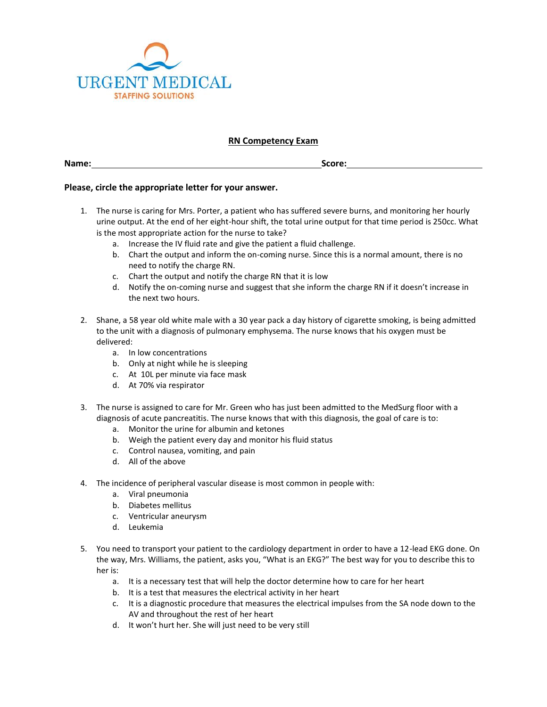

## **RN Competency Exam**

**Name: Score:**

## **Please, circle the appropriate letter for your answer.**

- 1. The nurse is caring for Mrs. Porter, a patient who has suffered severe burns, and monitoring her hourly urine output. At the end of her eight-hour shift, the total urine output for that time period is 250cc. What is the most appropriate action for the nurse to take?
	- a. Increase the IV fluid rate and give the patient a fluid challenge.
	- b. Chart the output and inform the on-coming nurse. Since this is a normal amount, there is no need to notify the charge RN.
	- c. Chart the output and notify the charge RN that it is low
	- d. Notify the on-coming nurse and suggest that she inform the charge RN if it doesn't increase in the next two hours.
- 2. Shane, a 58 year old white male with a 30 year pack a day history of cigarette smoking, is being admitted to the unit with a diagnosis of pulmonary emphysema. The nurse knows that his oxygen must be delivered:
	- a. In low concentrations
	- b. Only at night while he is sleeping
	- c. At 10L per minute via face mask
	- d. At 70% via respirator
- 3. The nurse is assigned to care for Mr. Green who has just been admitted to the MedSurg floor with a diagnosis of acute pancreatitis. The nurse knows that with this diagnosis, the goal of care is to:
	- a. Monitor the urine for albumin and ketones
	- b. Weigh the patient every day and monitor his fluid status
	- c. Control nausea, vomiting, and pain
	- d. All of the above
- 4. The incidence of peripheral vascular disease is most common in people with:
	- a. Viral pneumonia
	- b. Diabetes mellitus
	- c. Ventricular aneurysm
	- d. Leukemia
- 5. You need to transport your patient to the cardiology department in order to have a 12-lead EKG done. On the way, Mrs. Williams, the patient, asks you, "What is an EKG?" The best way for you to describe this to her is:
	- a. It is a necessary test that will help the doctor determine how to care for her heart
	- b. It is a test that measures the electrical activity in her heart
	- c. It is a diagnostic procedure that measures the electrical impulses from the SA node down to the AV and throughout the rest of her heart
	- d. It won't hurt her. She will just need to be very still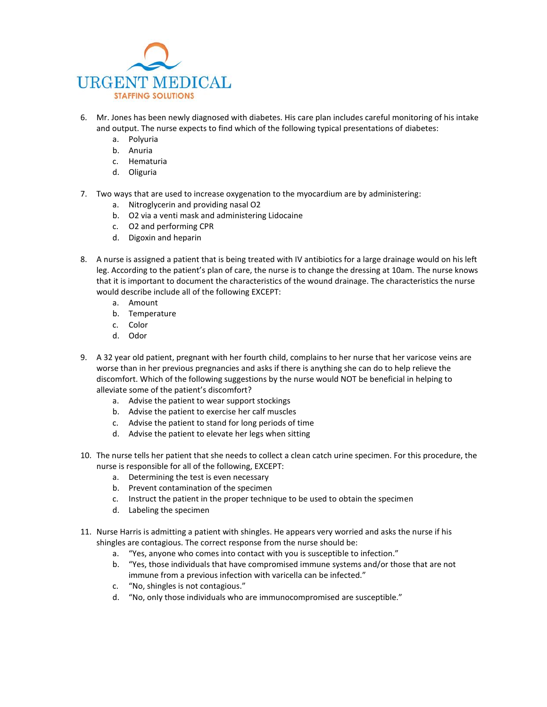

- 6. Mr. Jones has been newly diagnosed with diabetes. His care plan includes careful monitoring of his intake and output. The nurse expects to find which of the following typical presentations of diabetes:
	- a. Polyuria
	- b. Anuria
	- c. Hematuria
	- d. Oliguria
- 7. Two ways that are used to increase oxygenation to the myocardium are by administering:
	- a. Nitroglycerin and providing nasal O2
	- b. O2 via a venti mask and administering Lidocaine
	- c. O2 and performing CPR
	- d. Digoxin and heparin
- 8. A nurse is assigned a patient that is being treated with IV antibiotics for a large drainage would on his left leg. According to the patient's plan of care, the nurse is to change the dressing at 10am. The nurse knows that it is important to document the characteristics of the wound drainage. The characteristics the nurse would describe include all of the following EXCEPT:
	- a. Amount
	- b. Temperature
	- c. Color
	- d. Odor
- 9. A 32 year old patient, pregnant with her fourth child, complains to her nurse that her varicose veins are worse than in her previous pregnancies and asks if there is anything she can do to help relieve the discomfort. Which of the following suggestions by the nurse would NOT be beneficial in helping to alleviate some of the patient's discomfort?
	- a. Advise the patient to wear support stockings
	- b. Advise the patient to exercise her calf muscles
	- c. Advise the patient to stand for long periods of time
	- d. Advise the patient to elevate her legs when sitting
- 10. The nurse tells her patient that she needs to collect a clean catch urine specimen. For this procedure, the nurse is responsible for all of the following, EXCEPT:
	- a. Determining the test is even necessary
	- b. Prevent contamination of the specimen
	- c. Instruct the patient in the proper technique to be used to obtain the specimen
	- d. Labeling the specimen
- 11. Nurse Harris is admitting a patient with shingles. He appears very worried and asks the nurse if his shingles are contagious. The correct response from the nurse should be:
	- a. "Yes, anyone who comes into contact with you is susceptible to infection."
	- b. "Yes, those individuals that have compromised immune systems and/or those that are not immune from a previous infection with varicella can be infected."
	- c. "No, shingles is not contagious."
	- d. "No, only those individuals who are immunocompromised are susceptible."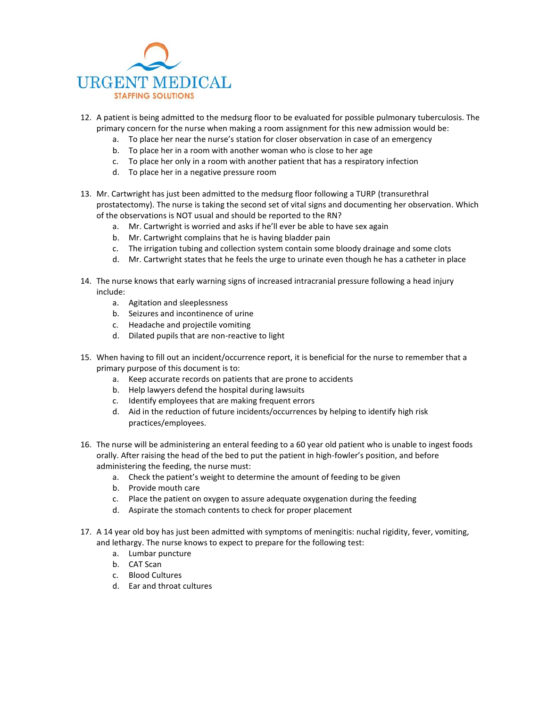

- 12. A patient is being admitted to the medsurg floor to be evaluated for possible pulmonary tuberculosis. The primary concern for the nurse when making a room assignment for this new admission would be:
	- a. To place her near the nurse's station for closer observation in case of an emergency
	- b. To place her in a room with another woman who is close to her age
	- c. To place her only in a room with another patient that has a respiratory infection
	- d. To place her in a negative pressure room
- 13. Mr. Cartwright has just been admitted to the medsurg floor following a TURP (transurethral prostatectomy). The nurse is taking the second set of vital signs and documenting her observation. Which of the observations is NOT usual and should be reported to the RN?
	- a. Mr. Cartwright is worried and asks if he'll ever be able to have sex again
	- b. Mr. Cartwright complains that he is having bladder pain
	- c. The irrigation tubing and collection system contain some bloody drainage and some clots
	- d. Mr. Cartwright states that he feels the urge to urinate even though he has a catheter in place
- 14. The nurse knows that early warning signs of increased intracranial pressure following a head injury include:
	- a. Agitation and sleeplessness
	- b. Seizures and incontinence of urine
	- c. Headache and projectile vomiting
	- d. Dilated pupils that are non-reactive to light
- 15. When having to fill out an incident/occurrence report, it is beneficial for the nurse to remember that a primary purpose of this document is to:
	- a. Keep accurate records on patients that are prone to accidents
	- b. Help lawyers defend the hospital during lawsuits
	- c. Identify employees that are making frequent errors
	- d. Aid in the reduction of future incidents/occurrences by helping to identify high risk practices/employees.
- 16. The nurse will be administering an enteral feeding to a 60 year old patient who is unable to ingest foods orally. After raising the head of the bed to put the patient in high-fowler's position, and before administering the feeding, the nurse must:
	- a. Check the patient's weight to determine the amount of feeding to be given
	- b. Provide mouth care
	- c. Place the patient on oxygen to assure adequate oxygenation during the feeding
	- d. Aspirate the stomach contents to check for proper placement
- 17. A 14 year old boy has just been admitted with symptoms of meningitis: nuchal rigidity, fever, vomiting, and lethargy. The nurse knows to expect to prepare for the following test:
	- a. Lumbar puncture
	- b. CAT Scan
	- c. Blood Cultures
	- d. Ear and throat cultures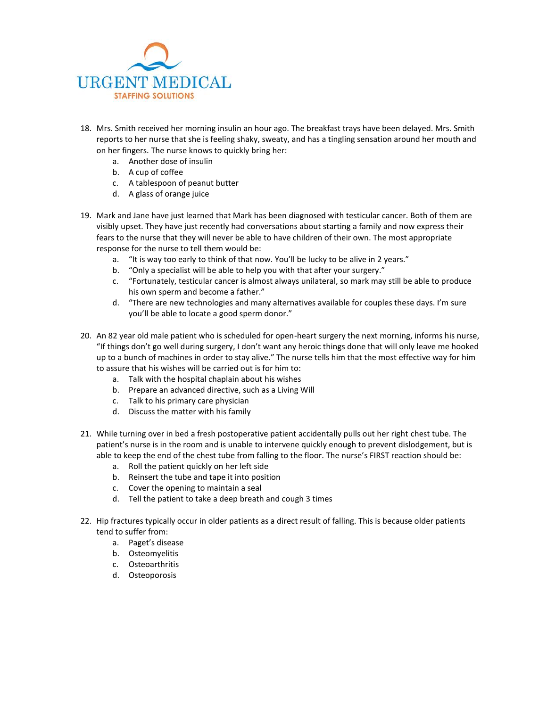

- 18. Mrs. Smith received her morning insulin an hour ago. The breakfast trays have been delayed. Mrs. Smith reports to her nurse that she is feeling shaky, sweaty, and has a tingling sensation around her mouth and on her fingers. The nurse knows to quickly bring her:
	- a. Another dose of insulin
	- b. A cup of coffee
	- c. A tablespoon of peanut butter
	- d. A glass of orange juice
- 19. Mark and Jane have just learned that Mark has been diagnosed with testicular cancer. Both of them are visibly upset. They have just recently had conversations about starting a family and now express their fears to the nurse that they will never be able to have children of their own. The most appropriate response for the nurse to tell them would be:
	- a. "It is way too early to think of that now. You'll be lucky to be alive in 2 years."
	- b. "Only a specialist will be able to help you with that after your surgery."
	- c. "Fortunately, testicular cancer is almost always unilateral, so mark may still be able to produce his own sperm and become a father."
	- d. "There are new technologies and many alternatives available for couples these days. I'm sure you'll be able to locate a good sperm donor."
- 20. An 82 year old male patient who is scheduled for open-heart surgery the next morning, informs his nurse, "If things don't go well during surgery, I don't want any heroic things done that will only leave me hooked up to a bunch of machines in order to stay alive." The nurse tells him that the most effective way for him to assure that his wishes will be carried out is for him to:
	- a. Talk with the hospital chaplain about his wishes
	- b. Prepare an advanced directive, such as a Living Will
	- c. Talk to his primary care physician
	- d. Discuss the matter with his family
- 21. While turning over in bed a fresh postoperative patient accidentally pulls out her right chest tube. The patient's nurse is in the room and is unable to intervene quickly enough to prevent dislodgement, but is able to keep the end of the chest tube from falling to the floor. The nurse's FIRST reaction should be:
	- a. Roll the patient quickly on her left side
	- b. Reinsert the tube and tape it into position
	- c. Cover the opening to maintain a seal
	- d. Tell the patient to take a deep breath and cough 3 times
- 22. Hip fractures typically occur in older patients as a direct result of falling. This is because older patients tend to suffer from:
	- a. Paget's disease
	- b. Osteomyelitis
	- c. Osteoarthritis
	- d. Osteoporosis